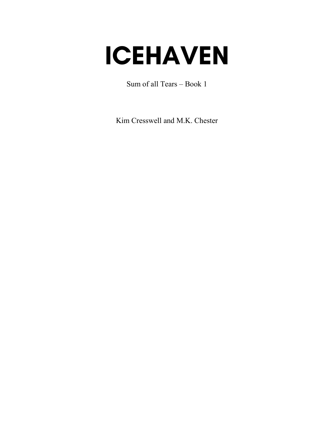# **ICEHAVEN**

Sum of all Tears – Book 1

Kim Cresswell and M.K. Chester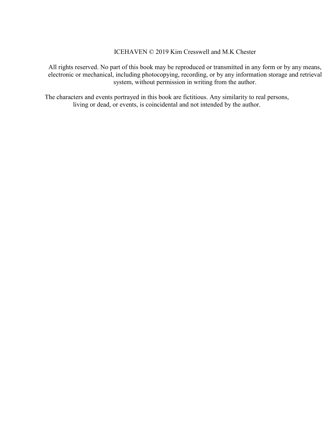ICEHAVEN © 2019 Kim Cresswell and M.K Chester

All rights reserved. No part of this book may be reproduced or transmitted in any form or by any means, electronic or mechanical, including photocopying, recording, or by any information storage and retrieval system, without permission in writing from the author.

The characters and events portrayed in this book are fictitious. Any similarity to real persons, living or dead, or events, is coincidental and not intended by the author.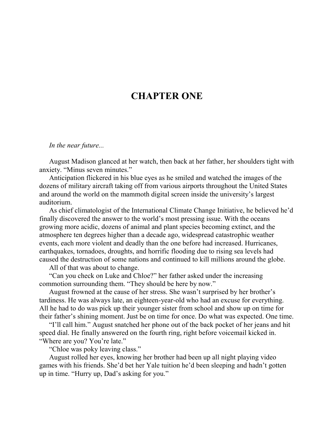## **CHAPTER ONE**

#### *In the near future...*

August Madison glanced at her watch, then back at her father, her shoulders tight with anxiety. "Minus seven minutes."

Anticipation flickered in his blue eyes as he smiled and watched the images of the dozens of military aircraft taking off from various airports throughout the United States and around the world on the mammoth digital screen inside the university's largest auditorium.

As chief climatologist of the International Climate Change Initiative, he believed he'd finally discovered the answer to the world's most pressing issue. With the oceans growing more acidic, dozens of animal and plant species becoming extinct, and the atmosphere ten degrees higher than a decade ago, widespread catastrophic weather events, each more violent and deadly than the one before had increased. Hurricanes, earthquakes, tornadoes, droughts, and horrific flooding due to rising sea levels had caused the destruction of some nations and continued to kill millions around the globe.

All of that was about to change.

"Can you check on Luke and Chloe?" her father asked under the increasing commotion surrounding them. "They should be here by now."

August frowned at the cause of her stress. She wasn't surprised by her brother's tardiness. He was always late, an eighteen-year-old who had an excuse for everything. All he had to do was pick up their younger sister from school and show up on time for their father's shining moment. Just be on time for once. Do what was expected. One time.

"I'll call him." August snatched her phone out of the back pocket of her jeans and hit speed dial. He finally answered on the fourth ring, right before voicemail kicked in. "Where are you? You're late."

"Chloe was poky leaving class."

August rolled her eyes, knowing her brother had been up all night playing video games with his friends. She'd bet her Yale tuition he'd been sleeping and hadn't gotten up in time. "Hurry up, Dad's asking for you."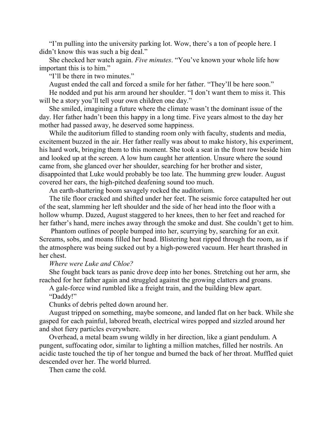"I'm pulling into the university parking lot. Wow, there's a ton of people here. I didn't know this was such a big deal."

She checked her watch again. *Five minutes*. "You've known your whole life how important this is to him."

"I'll be there in two minutes."

August ended the call and forced a smile for her father. "They'll be here soon."

He nodded and put his arm around her shoulder. "I don't want them to miss it. This will be a story you'll tell your own children one day."

She smiled, imagining a future where the climate wasn't the dominant issue of the day. Her father hadn't been this happy in a long time. Five years almost to the day her mother had passed away, he deserved some happiness.

While the auditorium filled to standing room only with faculty, students and media, excitement buzzed in the air. Her father really was about to make history, his experiment, his hard work, bringing them to this moment. She took a seat in the front row beside him and looked up at the screen. A low hum caught her attention. Unsure where the sound came from, she glanced over her shoulder, searching for her brother and sister, disappointed that Luke would probably be too late. The humming grew louder. August covered her ears, the high-pitched deafening sound too much.

An earth-shattering boom savagely rocked the auditorium.

The tile floor cracked and shifted under her feet. The seismic force catapulted her out of the seat, slamming her left shoulder and the side of her head into the floor with a hollow whump. Dazed, August staggered to her knees, then to her feet and reached for her father's hand, mere inches away through the smoke and dust. She couldn't get to him.

Phantom outlines of people bumped into her, scurrying by, searching for an exit. Screams, sobs, and moans filled her head. Blistering heat ripped through the room, as if the atmosphere was being sucked out by a high-powered vacuum. Her heart thrashed in her chest.

### *Where were Luke and Chloe?*

She fought back tears as panic drove deep into her bones. Stretching out her arm, she reached for her father again and struggled against the growing clatters and groans.

A gale-force wind rumbled like a freight train, and the building blew apart. "Daddy!"

Chunks of debris pelted down around her.

August tripped on something, maybe someone, and landed flat on her back. While she gasped for each painful, labored breath, electrical wires popped and sizzled around her and shot fiery particles everywhere.

Overhead, a metal beam swung wildly in her direction, like a giant pendulum. A pungent, suffocating odor, similar to lighting a million matches, filled her nostrils. An acidic taste touched the tip of her tongue and burned the back of her throat. Muffled quiet descended over her. The world blurred.

Then came the cold.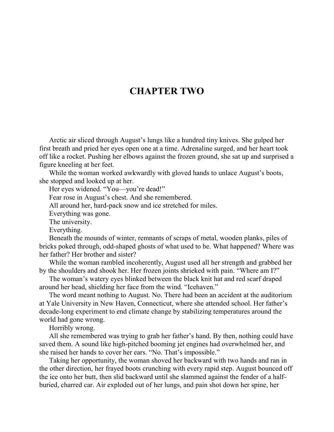## **CHAPTER TWO**

Arctic air sliced through August's lungs like a hundred tiny knives. She gulped her first breath and pried her eyes open one at a time. Adrenaline surged, and her heart took off like a rocket. Pushing her elbows against the frozen ground, she sat up and surprised a figure kneeling at her feet.

While the woman worked awkwardly with gloved hands to unlace August's boots, she stopped and looked up at her.

Her eyes widened. "You—you're dead!"

Fear rose in August's chest. And she remembered.

All around her, hard-pack snow and ice stretched for miles.

Everything was gone.

The university.

Everything.

Beneath the mounds of winter, remnants of scraps of metal, wooden planks, piles of bricks poked through, odd-shaped ghosts of what used to be. What happened? Where was her father? Her brother and sister?

While the woman rambled incoherently, August used all her strength and grabbed her by the shoulders and shook her. Her frozen joints shrieked with pain. "Where am I?"

The woman's watery eyes blinked between the black knit hat and red scarf draped around her head, shielding her face from the wind. "Icehaven."

The word meant nothing to August. No. There had been an accident at the auditorium at Yale University in New Haven, Connecticut, where she attended school. Her father's decade-long experiment to end climate change by stabilizing temperatures around the world had gone wrong.

Horribly wrong.

All she remembered was trying to grab her father's hand. By then, nothing could have saved them. A sound like high-pitched booming jet engines had overwhelmed her, and she raised her hands to cover her ears. "No. That's impossible."

Taking her opportunity, the woman shoved her backward with two hands and ran in the other direction, her frayed boots crunching with every rapid step. August bounced off the ice onto her butt, then slid backward until she slammed against the fender of a halfburied, charred car. Air exploded out of her lungs, and pain shot down her spine, her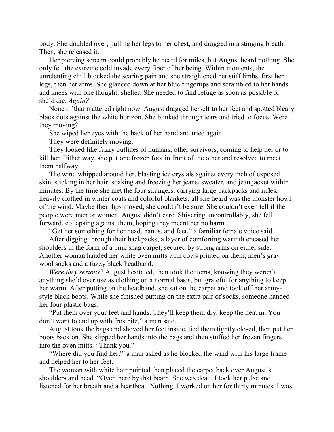body. She doubled over, pulling her legs to her chest, and dragged in a stinging breath. Then, she released it.

Her piercing scream could probably be heard for miles, but August heard nothing. She only felt the extreme cold invade every fiber of her being. Within moments, the unrelenting chill blocked the searing pain and she straightened her stiff limbs, first her legs, then her arms. She glanced down at her blue fingertips and scrambled to her hands and knees with one thought: shelter. She needed to find refuge as soon as possible or she'd die. *Again?*

None of that mattered right now. August dragged herself to her feet and spotted bleary black dots against the white horizon. She blinked through tears and tried to focus. Were they moving?

She wiped her eyes with the back of her hand and tried again.

They were definitely moving.

They looked like fuzzy outlines of humans, other survivors, coming to help her or to kill her. Either way, she put one frozen foot in front of the other and resolved to meet them halfway.

The wind whipped around her, blasting ice crystals against every inch of exposed skin, sticking in her hair, soaking and freezing her jeans, sweater, and jean jacket within minutes. By the time she met the four strangers, carrying large backpacks and rifles, heavily clothed in winter coats and colorful blankets, all she heard was the monster howl of the wind. Maybe their lips moved, she couldn't be sure. She couldn't even tell if the people were men or women. August didn't care. Shivering uncontrollably, she fell forward, collapsing against them, hoping they meant her no harm.

"Get her something for her head, hands, and feet," a familiar female voice said.

After digging through their backpacks, a layer of comforting warmth encased her shoulders in the form of a pink shag carpet, secured by strong arms on either side. Another woman handed her white oven mitts with cows printed on them, men's gray wool socks and a fuzzy black headband.

*Were they serious?* August hesitated, then took the items, knowing they weren't anything she'd ever use as clothing on a normal basis, but grateful for anything to keep her warm. After putting on the headband, she sat on the carpet and took off her armystyle black boots. While she finished putting on the extra pair of socks, someone handed her four plastic bags.

"Put them over your feet and hands. They'll keep them dry, keep the heat in. You don't want to end up with frostbite," a man said.

August took the bags and shoved her feet inside, tied them tightly closed, then put her boots back on. She slipped her hands into the bags and then stuffed her frozen fingers into the oven mitts. "Thank you."

"Where did you find her?" a man asked as he blocked the wind with his large frame and helped her to her feet.

The woman with white hair pointed then placed the carpet back over August's shoulders and head. "Over there by that beam. She was dead. I took her pulse and listened for her breath and a heartbeat. Nothing. I worked on her for thirty minutes. I was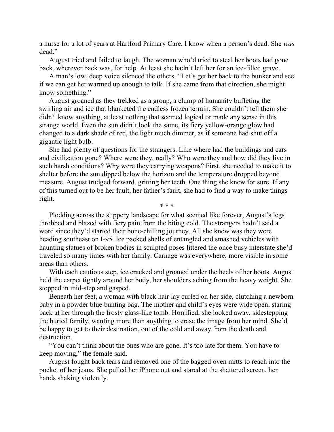a nurse for a lot of years at Hartford Primary Care. I know when a person's dead. She *was* dead."

August tried and failed to laugh. The woman who'd tried to steal her boots had gone back, wherever back was, for help. At least she hadn't left her for an ice-filled grave.

A man's low, deep voice silenced the others. "Let's get her back to the bunker and see if we can get her warmed up enough to talk. If she came from that direction, she might know something."

August groaned as they trekked as a group, a clump of humanity buffeting the swirling air and ice that blanketed the endless frozen terrain. She couldn't tell them she didn't know anything, at least nothing that seemed logical or made any sense in this strange world. Even the sun didn't look the same, its fiery yellow-orange glow had changed to a dark shade of red, the light much dimmer, as if someone had shut off a gigantic light bulb.

She had plenty of questions for the strangers. Like where had the buildings and cars and civilization gone? Where were they, really? Who were they and how did they live in such harsh conditions? Why were they carrying weapons? First, she needed to make it to shelter before the sun dipped below the horizon and the temperature dropped beyond measure. August trudged forward, gritting her teeth. One thing she knew for sure. If any of this turned out to be her fault, her father's fault, she had to find a way to make things right.

Plodding across the slippery landscape for what seemed like forever, August's legs throbbed and blazed with fiery pain from the biting cold. The strangers hadn't said a word since they'd started their bone-chilling journey. All she knew was they were heading southeast on I-95. Ice packed shells of entangled and smashed vehicles with haunting statues of broken bodies in sculpted poses littered the once busy interstate she'd traveled so many times with her family. Carnage was everywhere, more visible in some areas than others.

With each cautious step, ice cracked and groaned under the heels of her boots. August held the carpet tightly around her body, her shoulders aching from the heavy weight. She stopped in mid-step and gasped.

Beneath her feet, a woman with black hair lay curled on her side, clutching a newborn baby in a powder blue bunting bag. The mother and child's eyes were wide open, staring back at her through the frosty glass-like tomb. Horrified, she looked away, sidestepping the buried family, wanting more than anything to erase the image from her mind. She'd be happy to get to their destination, out of the cold and away from the death and destruction.

"You can't think about the ones who are gone. It's too late for them. You have to keep moving," the female said.

August fought back tears and removed one of the bagged oven mitts to reach into the pocket of her jeans. She pulled her iPhone out and stared at the shattered screen, her hands shaking violently.

\* \* \*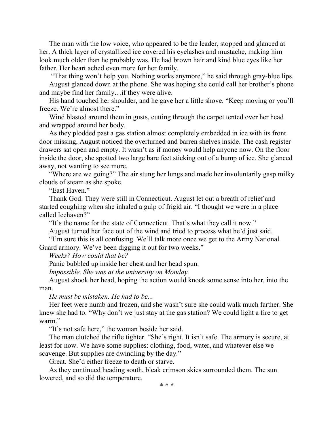The man with the low voice, who appeared to be the leader, stopped and glanced at her. A thick layer of crystallized ice covered his eyelashes and mustache, making him look much older than he probably was. He had brown hair and kind blue eyes like her father. Her heart ached even more for her family.

"That thing won't help you. Nothing works anymore," he said through gray-blue lips. August glanced down at the phone. She was hoping she could call her brother's phone and maybe find her family…if they were alive.

His hand touched her shoulder, and he gave her a little shove. "Keep moving or you'll freeze. We're almost there."

Wind blasted around them in gusts, cutting through the carpet tented over her head and wrapped around her body.

As they plodded past a gas station almost completely embedded in ice with its front door missing, August noticed the overturned and barren shelves inside. The cash register drawers sat open and empty. It wasn't as if money would help anyone now. On the floor inside the door, she spotted two large bare feet sticking out of a bump of ice. She glanced away, not wanting to see more.

"Where are we going?" The air stung her lungs and made her involuntarily gasp milky clouds of steam as she spoke.

"East Haven."

Thank God. They were still in Connecticut. August let out a breath of relief and started coughing when she inhaled a gulp of frigid air. "I thought we were in a place called Icehaven?"

"It's the name for the state of Connecticut. That's what they call it now."

August turned her face out of the wind and tried to process what he'd just said.

"I'm sure this is all confusing. We'll talk more once we get to the Army National Guard armory. We've been digging it out for two weeks."

*Weeks? How could that be?*

Panic bubbled up inside her chest and her head spun.

*Impossible. She was at the university on Monday.*

August shook her head, hoping the action would knock some sense into her, into the man.

*He must be mistaken. He had to be...*

Her feet were numb and frozen, and she wasn't sure she could walk much farther. She knew she had to. "Why don't we just stay at the gas station? We could light a fire to get warm."

"It's not safe here," the woman beside her said.

The man clutched the rifle tighter. "She's right. It isn't safe. The armory is secure, at least for now. We have some supplies: clothing, food, water, and whatever else we scavenge. But supplies are dwindling by the day."

Great. She'd either freeze to death or starve.

As they continued heading south, bleak crimson skies surrounded them. The sun lowered, and so did the temperature.

\* \* \*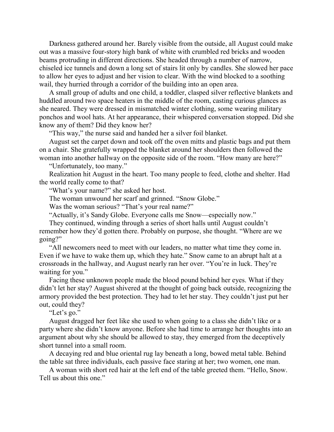Darkness gathered around her. Barely visible from the outside, all August could make out was a massive four-story high bank of white with crumbled red bricks and wooden beams protruding in different directions. She headed through a number of narrow, chiseled ice tunnels and down a long set of stairs lit only by candles. She slowed her pace to allow her eyes to adjust and her vision to clear. With the wind blocked to a soothing wail, they hurried through a corridor of the building into an open area.

A small group of adults and one child, a toddler, clasped silver reflective blankets and huddled around two space heaters in the middle of the room, casting curious glances as she neared. They were dressed in mismatched winter clothing, some wearing military ponchos and wool hats. At her appearance, their whispered conversation stopped. Did she know any of them? Did they know her?

"This way," the nurse said and handed her a silver foil blanket.

August set the carpet down and took off the oven mitts and plastic bags and put them on a chair. She gratefully wrapped the blanket around her shoulders then followed the woman into another hallway on the opposite side of the room. "How many are here?"

"Unfortunately, too many."

Realization hit August in the heart. Too many people to feed, clothe and shelter. Had the world really come to that?

"What's your name?" she asked her host.

The woman unwound her scarf and grinned. "Snow Globe."

Was the woman serious? "That's your real name?"

"Actually, it's Sandy Globe. Everyone calls me Snow—especially now."

They continued, winding through a series of short halls until August couldn't remember how they'd gotten there. Probably on purpose, she thought. "Where are we going?"

"All newcomers need to meet with our leaders, no matter what time they come in. Even if we have to wake them up, which they hate." Snow came to an abrupt halt at a crossroads in the hallway, and August nearly ran her over. "You're in luck. They're waiting for you."

Facing these unknown people made the blood pound behind her eyes. What if they didn't let her stay? August shivered at the thought of going back outside, recognizing the armory provided the best protection. They had to let her stay. They couldn't just put her out, could they?

"Let's go."

August dragged her feet like she used to when going to a class she didn't like or a party where she didn't know anyone. Before she had time to arrange her thoughts into an argument about why she should be allowed to stay, they emerged from the deceptively short tunnel into a small room.

A decaying red and blue oriental rug lay beneath a long, bowed metal table. Behind the table sat three individuals, each passive face staring at her; two women, one man.

A woman with short red hair at the left end of the table greeted them. "Hello, Snow. Tell us about this one."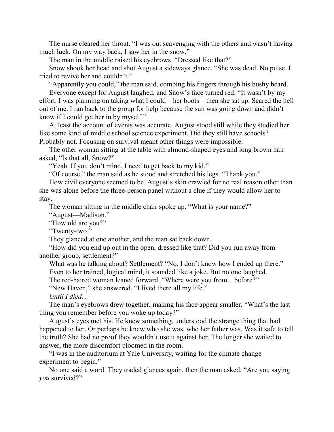The nurse cleared her throat. "I was out scavenging with the others and wasn't having much luck. On my way back, I saw her in the snow."

The man in the middle raised his eyebrows. "Dressed like that?"

Snow shook her head and shot August a sideways glance. "She was dead. No pulse. I tried to revive her and couldn't."

"Apparently you could," the man said, combing his fingers through his bushy beard.

Everyone except for August laughed, and Snow's face turned red. "It wasn't by my effort. I was planning on taking what I could—her boots—then she sat up. Scared the hell out of me. I ran back to the group for help because the sun was going down and didn't know if I could get her in by myself."

At least the account of events was accurate. August stood still while they studied her like some kind of middle school science experiment. Did they still have schools? Probably not. Focusing on survival meant other things were impossible.

The other woman sitting at the table with almond-shaped eyes and long brown hair asked, "Is that all, Snow?"

"Yeah. If you don't mind, I need to get back to my kid."

"Of course," the man said as he stood and stretched his legs. "Thank you."

How civil everyone seemed to be. August's skin crawled for no real reason other than she was alone before the three-person panel without a clue if they would allow her to stay.

The woman sitting in the middle chair spoke up. "What is your name?"

"August—Madison."

"How old are you?"

"Twenty-two."

They glanced at one another, and the man sat back down.

"How did you end up out in the open, dressed like that? Did you run away from another group, settlement?"

What was he talking about? Settlement? "No. I don't know how I ended up there." Even to her trained, logical mind, it sounded like a joke. But no one laughed.

The red-haired woman leaned forward. "Where were you from…before?"

"New Haven," she answered. "I lived there all my life."

*Until I died...* 

The man's eyebrows drew together, making his face appear smaller. "What's the last thing you remember before you woke up today?"

August's eyes met his. He knew something, understood the strange thing that had happened to her. Or perhaps he knew who she was, who her father was. Was it safe to tell the truth? She had no proof they wouldn't use it against her. The longer she waited to answer, the more discomfort bloomed in the room.

"I was in the auditorium at Yale University, waiting for the climate change experiment to begin."

No one said a word. They traded glances again, then the man asked, "Are you saying *you* survived?"